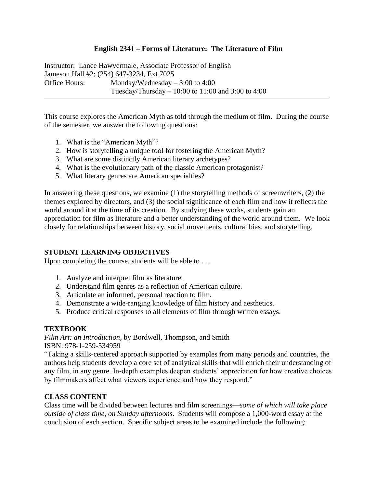## **English 2341 – Forms of Literature: The Literature of Film**

Instructor: Lance Hawvermale, Associate Professor of English Jameson Hall #2; (254) 647-3234, Ext 7025 Office Hours: Monday/Wednesday – 3:00 to 4:00 Tuesday/Thursday – 10:00 to 11:00 and 3:00 to 4:00

This course explores the American Myth as told through the medium of film. During the course of the semester, we answer the following questions:

- 1. What is the "American Myth"?
- 2. How is storytelling a unique tool for fostering the American Myth?
- 3. What are some distinctly American literary archetypes?
- 4. What is the evolutionary path of the classic American protagonist?
- 5. What literary genres are American specialties?

In answering these questions, we examine (1) the storytelling methods of screenwriters, (2) the themes explored by directors, and (3) the social significance of each film and how it reflects the world around it at the time of its creation. By studying these works, students gain an appreciation for film as literature and a better understanding of the world around them. We look closely for relationships between history, social movements, cultural bias, and storytelling.

# **STUDENT LEARNING OBJECTIVES**

Upon completing the course, students will be able to . . .

- 1. Analyze and interpret film as literature.
- 2. Understand film genres as a reflection of American culture.
- 3. Articulate an informed, personal reaction to film.
- 4. Demonstrate a wide-ranging knowledge of film history and aesthetics.
- 5. Produce critical responses to all elements of film through written essays.

### **TEXTBOOK**

*Film Art: an Introduction*, by Bordwell, Thompson, and Smith ISBN: 978-1-259-534959

"Taking a skills-centered approach supported by examples from many periods and countries, the authors help students develop a core set of analytical skills that will enrich their understanding of any film, in any genre. In-depth examples deepen students' appreciation for how creative choices by filmmakers affect what viewers experience and how they respond."

# **CLASS CONTENT**

Class time will be divided between lectures and film screenings—*some of which will take place outside of class time, on Sunday afternoons*. Students will compose a 1,000-word essay at the conclusion of each section. Specific subject areas to be examined include the following: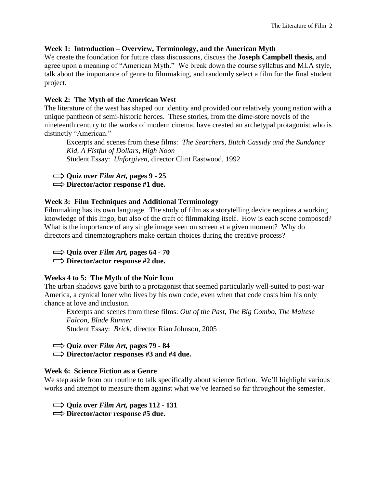# **Week 1: Introduction – Overview, Terminology, and the American Myth**

We create the foundation for future class discussions, discuss the **Joseph Campbell thesis,** and agree upon a meaning of "American Myth." We break down the course syllabus and MLA style, talk about the importance of genre to filmmaking, and randomly select a film for the final student project.

## **Week 2: The Myth of the American West**

The literature of the west has shaped our identity and provided our relatively young nation with a unique pantheon of semi-historic heroes. These stories, from the dime-store novels of the nineteenth century to the works of modern cinema, have created an archetypal protagonist who is distinctly "American."

Excerpts and scenes from these films: *The Searchers, Butch Cassidy and the Sundance Kid, A Fistful of Dollars, High Noon* Student Essay: *Unforgiven*, director Clint Eastwood, 1992

 $\implies$  Quiz over *Film Art*, pages 9 - 25

**Director/actor response #1 due.**

## **Week 3: Film Techniques and Additional Terminology**

Filmmaking has its own language. The study of film as a storytelling device requires a working knowledge of this lingo, but also of the craft of filmmaking itself. How is each scene composed? What is the importance of any single image seen on screen at a given moment? Why do directors and cinematographers make certain choices during the creative process?

 $\Rightarrow$  Quiz over *Film Art*, pages 64 - 70

**Director/actor response #2 due.**

# **Weeks 4 to 5: The Myth of the Noir Icon**

The urban shadows gave birth to a protagonist that seemed particularly well-suited to post-war America, a cynical loner who lives by his own code, even when that code costs him his only chance at love and inclusion.

Excerpts and scenes from these films: *Out of the Past, The Big Combo, The Maltese Falcon, Blade Runner* Student Essay: *Brick*, director Rian Johnson, 2005

**Quiz over** *Film Art,* **pages 79 - 84**

**Director/actor responses #3 and #4 due.**

### **Week 6: Science Fiction as a Genre**

We step aside from our routine to talk specifically about science fiction. We'll highlight various works and attempt to measure them against what we've learned so far throughout the semester.

 $\Rightarrow$  Quiz over *Film Art*, pages 112 - 131 **Director/actor response #5 due.**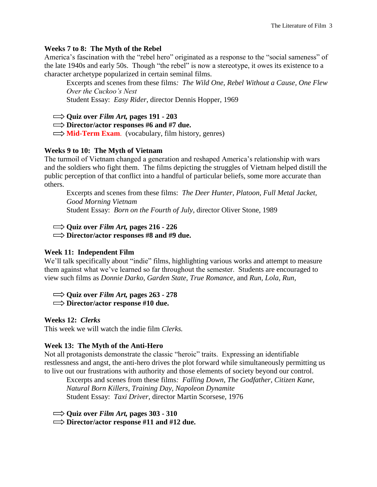#### **Weeks 7 to 8: The Myth of the Rebel**

America's fascination with the "rebel hero" originated as a response to the "social sameness" of the late 1940s and early 50s. Though "the rebel" is now a stereotype, it owes its existence to a character archetype popularized in certain seminal films.

Excerpts and scenes from these films*: The Wild One, Rebel Without a Cause, One Flew Over the Cuckoo's Nest*

Student Essay: *Easy Rider*, director Dennis Hopper, 1969

 $\Rightarrow$  Quiz over *Film Art*, pages 191 - 203

**Director/actor responses #6 and #7 due.**

 $\implies$  **Mid-Term Exam.** (vocabulary, film history, genres)

#### **Weeks 9 to 10: The Myth of Vietnam**

The turmoil of Vietnam changed a generation and reshaped America's relationship with wars and the soldiers who fight them. The films depicting the struggles of Vietnam helped distill the public perception of that conflict into a handful of particular beliefs, some more accurate than others.

Excerpts and scenes from these films: *The Deer Hunter, Platoon, Full Metal Jacket, Good Morning Vietnam* Student Essay: *Born on the Fourth of July*, director Oliver Stone, 1989

 $\implies$  **Quiz over** *Film Art***, pages 216 - 226** 

**Director/actor responses #8 and #9 due.**

#### **Week 11: Independent Film**

We'll talk specifically about "indie" films, highlighting various works and attempt to measure them against what we've learned so far throughout the semester. Students are encouraged to view such films as *Donnie Darko, Garden State, True Romance*, and *Run, Lola, Run,*

 $\implies$  Quiz over *Film Art*, pages 263 - 278

**Director/actor response #10 due.**

### **Weeks 12:** *Clerks*

This week we will watch the indie film *Clerks.*

### **Week 13: The Myth of the Anti-Hero**

Not all protagonists demonstrate the classic "heroic" traits. Expressing an identifiable restlessness and angst, the anti-hero drives the plot forward while simultaneously permitting us to live out our frustrations with authority and those elements of society beyond our control.

Excerpts and scenes from these films*: Falling Down, The Godfather, Citizen Kane, Natural Born Killers, Training Day, Napoleon Dynamite* Student Essay: *Taxi Driver*, director Martin Scorsese, 1976

 $\Rightarrow$  Quiz over *Film Art*, pages 303 - 310

**Director/actor response #11 and #12 due.**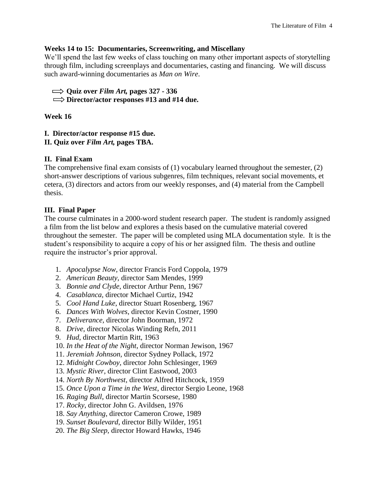### **Weeks 14 to 15: Documentaries, Screenwriting, and Miscellany**

We'll spend the last few weeks of class touching on many other important aspects of storytelling through film, including screenplays and documentaries, casting and financing. We will discuss such award-winning documentaries as *Man on Wire*.

 $\implies$  Quiz over *Film Art*, pages 327 - 336

**Director/actor responses #13 and #14 due.**

# **Week 16**

**I. Director/actor response #15 due.**

**II. Quiz over** *Film Art,* **pages TBA.**

# **II. Final Exam**

The comprehensive final exam consists of  $(1)$  vocabulary learned throughout the semester,  $(2)$ short-answer descriptions of various subgenres, film techniques, relevant social movements, et cetera, (3) directors and actors from our weekly responses, and (4) material from the Campbell thesis.

# **III. Final Paper**

The course culminates in a 2000-word student research paper. The student is randomly assigned a film from the list below and explores a thesis based on the cumulative material covered throughout the semester. The paper will be completed using MLA documentation style. It is the student's responsibility to acquire a copy of his or her assigned film. The thesis and outline require the instructor's prior approval.

- 1. *Apocalypse Now,* director Francis Ford Coppola, 1979
- 2. *American Beauty,* director Sam Mendes, 1999
- 3. *Bonnie and Clyde*, director Arthur Penn, 1967
- 4. *Casablanca,* director Michael Curtiz, 1942
- 5. *Cool Hand Luke*, director Stuart Rosenberg, 1967
- 6. *Dances With Wolves*, director Kevin Costner, 1990
- 7. *Deliverance,* director John Boorman, 1972
- 8. *Drive*, director Nicolas Winding Refn, 2011
- 9. *Hud*, director Martin Ritt, 1963
- 10. *In the Heat of the Night*, director Norman Jewison, 1967
- 11. *Jeremiah Johnson,* director Sydney Pollack, 1972
- 12. *Midnight Cowboy,* director John Schlesinger, 1969
- 13. *Mystic River*, director Clint Eastwood, 2003
- 14. *North By Northwest*, director Alfred Hitchcock, 1959
- 15. *Once Upon a Time in the West*, director Sergio Leone, 1968
- 16. *Raging Bull*, director Martin Scorsese, 1980
- 17. *Rocky*, director John G. Avildsen, 1976
- 18. *Say Anything*, director Cameron Crowe, 1989
- 19. *Sunset Boulevard*, director Billy Wilder, 1951
- 20. *The Big Sleep*, director Howard Hawks, 1946